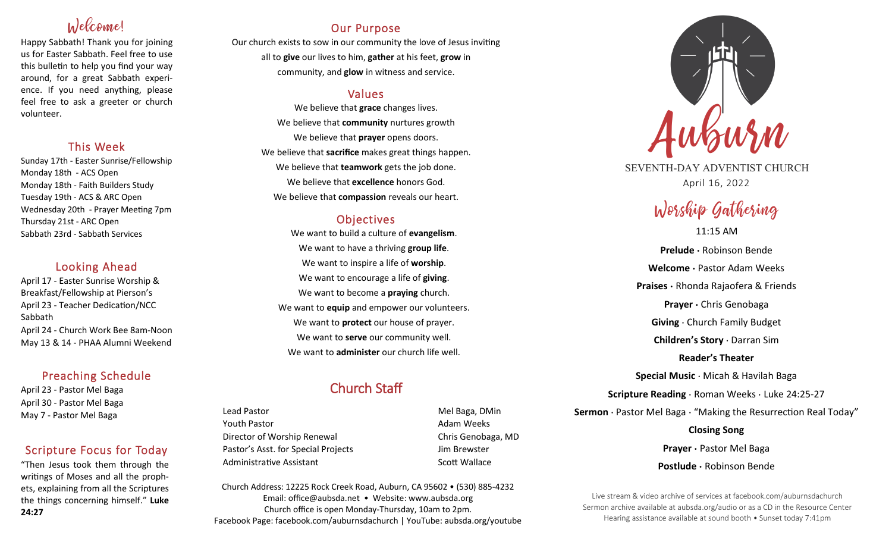# Welcome!

Happy Sabbath! Thank you for joining us for Easter Sabbath. Feel free to use this bulletin to help you find your way around, for a great Sabbath experience. If you need anything, please feel free to ask a greeter or church volunteer.

# This Week

Sunday 17th - Easter Sunrise/Fellowship Monday 18th - ACS Open Monday 18th - Faith Builders Study Tuesday 19th - ACS & ARC Open Wednesday 20th - Prayer Meeting 7pm Thursday 21st - ARC Open Sabbath 23rd - Sabbath Services

# Looking Ahead

April 17 - Easter Sunrise Worship & Breakfast/Fellowship at Pierson's April 23 - Teacher Dedication/NCC Sabbath April 24 - Church Work Bee 8am-Noon May 13 & 14 - PHAA Alumni Weekend

# Preaching Schedule

April 23 - Pastor Mel Baga April 30 - Pastor Mel Baga May 7 - Pastor Mel Baga

# Scripture Focus for Today

"Then Jesus took them through the writings of Moses and all the prophets, explaining from all the Scriptures the things concerning himself." **Luke 24:27**

# Our Purpose

Our church exists to sow in our community the love of Jesus inviting all to **give** our lives to him, **gather** at his feet, **grow** in community, and **glow** in witness and service.

# Values

We believe that **grace** changes lives. We believe that **community** nurtures growth We believe that **prayer** opens doors. We believe that **sacrifice** makes great things happen. We believe that **teamwork** gets the job done. We believe that **excellence** honors God. We believe that **compassion** reveals our heart.

# **Objectives**

We want to build a culture of **evangelism**. We want to have a thriving **group life**. We want to inspire a life of **worship**. We want to encourage a life of **giving**. We want to become a **praying** church. We want to **equip** and empower our volunteers. We want to **protect** our house of prayer. We want to **serve** our community well. We want to **administer** our church life well.

# Church Staff

Lead Pastor **Mel Baga, DMin** Youth Pastor **Adam Weeks Adam Weeks** Director of Worship Renewal **Chris Genobaga**, MD Pastor's Asst. for Special Projects Jim Brewster Administrative Assistant **Scott Wallace** Scott Wallace

Church Address: 12225 Rock Creek Road, Auburn, CA 95602 • (530) 885-4232 Email: office@aubsda.net • Website: www.aubsda.org Church office is open Monday-Thursday, 10am to 2pm. Facebook Page: facebook.com/auburnsdachurch | YouTube: aubsda.org/youtube



SEVENTH-DAY ADVENTIST CHURCH April 16, 2022

# Worship Gathering

11:15 AM **Prelude ·** Robinson Bende **Welcome ·** Pastor Adam Weeks **Praises ·** Rhonda Rajaofera & Friends **Prayer ·** Chris Genobaga **Giving** · Church Family Budget **Children's Story** · Darran Sim **Reader's Theater Special Music** · Micah & Havilah Baga **Scripture Reading** · Roman Weeks · Luke 24:25-27 **Sermon** · Pastor Mel Baga · "Making the Resurrection Real Today" **Closing Song Prayer ·** Pastor Mel Baga **Postlude ·** Robinson Bende

Live stream & video archive of services at facebook.com/auburnsdachurch Sermon archive available at aubsda.org/audio or as a CD in the Resource Center Hearing assistance available at sound booth • Sunset today 7:41pm